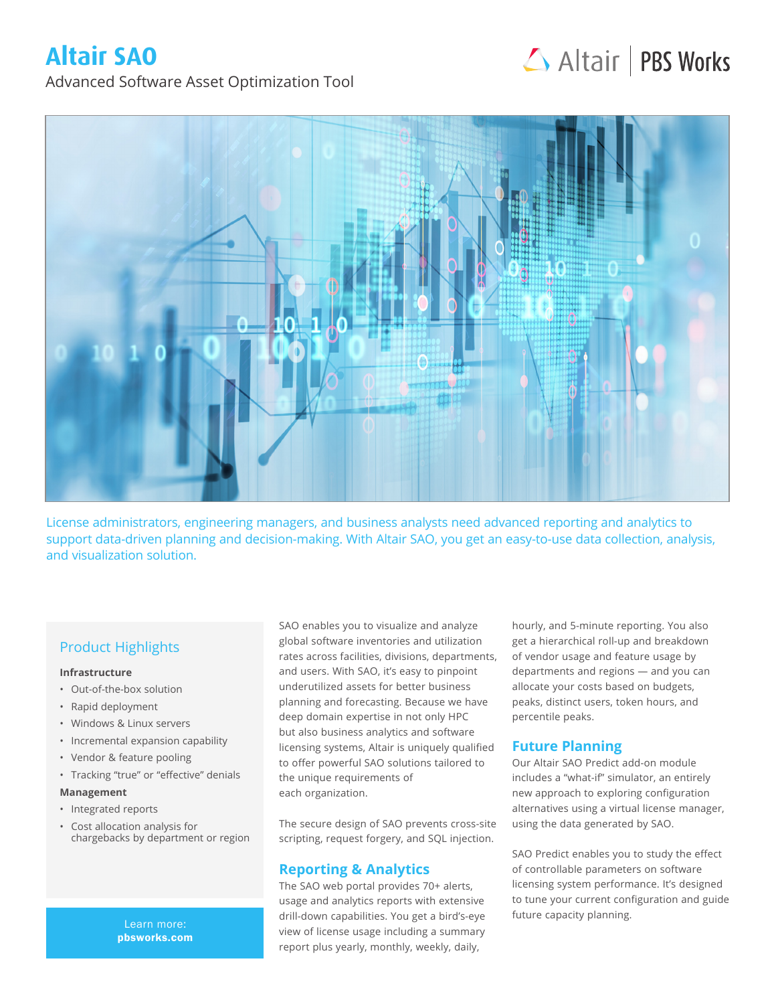# **Altair SAO**

# Altair | PBS Works

Advanced Software Asset Optimization Tool



License administrators, engineering managers, and business analysts need advanced reporting and analytics to support data-driven planning and decision-making. With Altair SAO, you get an easy-to-use data collection, analysis, and visualization solution.

# Product Highlights

#### **Infrastructure**

- Out-of-the-box solution
- Rapid deployment
- Windows & Linux servers
- Incremental expansion capability
- Vendor & feature pooling
- Tracking "true" or "effective" denials

#### **Management**

- Integrated reports
- Cost allocation analysis for chargebacks by department or region

pbsworks.com

SAO enables you to visualize and analyze global software inventories and utilization rates across facilities, divisions, departments, and users. With SAO, it's easy to pinpoint underutilized assets for better business planning and forecasting. Because we have deep domain expertise in not only HPC but also business analytics and software licensing systems, Altair is uniquely qualified to offer powerful SAO solutions tailored to the unique requirements of each organization.

The secure design of SAO prevents cross-site scripting, request forgery, and SQL injection.

### **Reporting & Analytics**

The SAO web portal provides 70+ alerts, usage and analytics reports with extensive drill-down capabilities. You get a bird's-eye future capacity planning. Learn more: view of license usage including a summary report plus yearly, monthly, weekly, daily,

hourly, and 5-minute reporting. You also get a hierarchical roll-up and breakdown of vendor usage and feature usage by departments and regions — and you can allocate your costs based on budgets, peaks, distinct users, token hours, and percentile peaks.

## **Future Planning**

Our Altair SAO Predict add-on module includes a "what-if" simulator, an entirely new approach to exploring configuration alternatives using a virtual license manager, using the data generated by SAO.

SAO Predict enables you to study the effect of controllable parameters on software licensing system performance. It's designed to tune your current configuration and guide